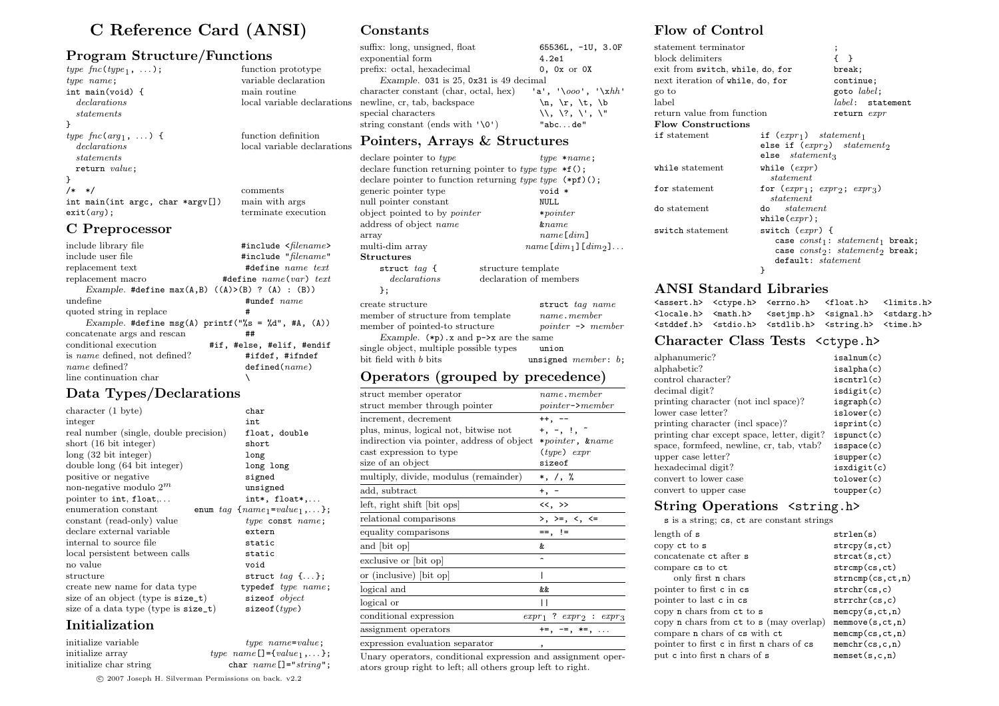# C Reference Card (ANSI)

### Program Structure/Functions

| type $\mathit{fnc}(\mathit{type}_1, \ldots)$ ; | function prototype    |
|------------------------------------------------|-----------------------|
| $type$ $name$ ;                                | variable declaration  |
| int main(void) {                               | main routine          |
| <i>declarations</i>                            | local variable declar |
| statements                                     |                       |
|                                                |                       |
| type $\mathit{fnc}(\mathit{arg}_1, \ldots)$ {  | function definition   |
| <i>declarations</i>                            | local variable declar |
| statements                                     |                       |
| return value;                                  |                       |
|                                                |                       |
| /*<br>$*$ /                                    | comments              |
| int main(int argc, char *argv[])               | main with args        |
| $ext(\textit{arg})$ ;                          | terminate execution   |
|                                                |                       |

### C Preprocessor

| include library file                                      | #include <filename></filename>                     |
|-----------------------------------------------------------|----------------------------------------------------|
| include user file                                         | #include "filename"                                |
| replacement text                                          | #define name text                                  |
| replacement macro                                         | #define $name(var) text$                           |
| Example. #define max $(A, B)$ $((A)>(B)$ ? $(A)$ : $(B))$ |                                                    |
| undefine                                                  | $#$ undef $name$                                   |
| quoted string in replace                                  | #                                                  |
|                                                           | Example. #define msg(A) printf("%s = %d", #A, (A)) |
| concatenate args and rescan                               | ##                                                 |
| conditional execution                                     | #if, #else, #elif, #endif                          |
| is <i>name</i> defined, not defined?                      | #ifdef, #ifndef                                    |
| name defined?                                             | defined(name)                                      |
| line continuation char                                    |                                                    |

# Data Types/Declarations

| character $(1 \text{ byte})$           | char                                   |
|----------------------------------------|----------------------------------------|
| integer                                | int                                    |
| real number (single, double precision) | float, double                          |
| short $(16 \text{ bit integer})$       | short                                  |
| $long(32 \text{ bit integer})$         | long                                   |
| double long (64 bit integer)           | long long                              |
| positive or negative                   | signed                                 |
| non-negative modulo $2^m$              | unsigned                               |
| pointer to int, float,                 | $int*,$ float $*,$                     |
| enumeration constant                   | enum $tag \{name_1=value_1, \ldots\};$ |
| constant (read-only) value             | $type$ const $name;$                   |
| declare external variable              | extern                                 |
| internal to source file                | static                                 |
| local persistent between calls         | static                                 |
| no value                               | void                                   |
| structure                              | struct $tag \{\ldots\};$               |
| create new name for data type          | typedef type name;                     |
| size of an object (type is size_t)     | sizeof object                          |
| size of a data type (type is size_t)   | sizeof(type)                           |
|                                        |                                        |

# Initialization

| initialize variable    | $type\_name = value;$                       |
|------------------------|---------------------------------------------|
| initialize array       | <i>type</i> $name[] = \{value_1, \ldots\};$ |
| initialize char string | char $name[] = "string"$ ;                  |

Constants

l variable declarations

variable declarations

| suffix: long, unsigned, float                             | 65536L, -1U, 3.0F                                          |
|-----------------------------------------------------------|------------------------------------------------------------|
| exponential form                                          | 4.2e1                                                      |
| prefix: octal, hexadecimal                                | $0$ , $0x$ or $0x$                                         |
| Example. $031$ is $25$ , $0x31$ is $49$ decimal           |                                                            |
| character constant (char, octal, hex) 'a', '\ooo', '\xhh' |                                                            |
| newline, cr. tab, backspace                               | $\n\langle n, \ \langle r, \ \langle t, \ \rangle \rangle$ |
| special characters                                        | \\. \?. \'. \"                                             |
| string constant (ends with $'\0'$ )                       | "abcde"                                                    |

## Pointers, Arrays & Structures

| declare pointer to type                                  | $type * name;$                                             |
|----------------------------------------------------------|------------------------------------------------------------|
| declare function returning pointer to type type $*f()$ ; |                                                            |
|                                                          | declare pointer to function returning type type $(*pf)($ ; |
| generic pointer type                                     | void *                                                     |
| null pointer constant                                    | <b>NULL</b>                                                |
| object pointed to by <i>pointer</i>                      | $* pointer$                                                |
| address of object name                                   | $\&name$                                                   |
| array                                                    | name[dim]                                                  |
| multi-dim array                                          | $name[dim_1][dim_2] \ldots$                                |
| ${\rm Structures}$                                       |                                                            |
| struct $taq \leftarrow$                                  | structure template                                         |
| de <u>clarations</u>                                     | declaration of members                                     |
| }:                                                       |                                                            |
| create structure                                         | struct tag name                                            |
| member of structure from template                        | $name.$ <i>member</i>                                      |
| member of pointed-to structure                           | $\textit{pointer} \rightarrow \textit{member}$             |
| Example. $(*p)$ . x and $p$ ->x are the same             |                                                            |
| single object, multiple possible types                   | union                                                      |
| bit field with <i>b</i> bits                             | unsigned $member: b;$                                      |
|                                                          |                                                            |

# Operators (grouped by precedence)

| struct member operator                     | $name.$ <i>member</i>                   |
|--------------------------------------------|-----------------------------------------|
| struct member through pointer              | $pointer$ $\rightarrow$ member          |
| increment, decrement                       | ++, --                                  |
| plus, minus, logical not, bitwise not      | $+$ , $-$ , $\frac{1}{2}$ , $\tilde{a}$ |
| indirection via pointer, address of object | *pointer, &name                         |
| cast expression to type                    | $(type)$ expr                           |
| size of an object                          | sizeof                                  |
| multiply, divide, modulus (remainder)      | *, /, %                                 |
| add, subtract                              | $^+$ ,                                  |
| left, right shift [bit ops]                | <<, >>                                  |
| relational comparisons                     | $>$ , $>$ =, <, <=                      |
| equality comparisons                       | $==, \_!=$                              |
| and [bit op]                               | &.                                      |
| exclusive or [bit op]                      |                                         |
| or (inclusive) [bit op]                    |                                         |
| logical and                                | &&                                      |
| logical or                                 | Н                                       |
| conditional expression                     | $expr_1$ ? $expr_2$ : $expr_3$          |
| assignment operators                       | $+=, -=, *=, $                          |
| expression evaluation separator            |                                         |

Unary operators, conditional expression and assignment operators group right to left; all others group left to right.

# Flow of Control

| statement terminator                    |                                                                                                          | ;                                                                              |
|-----------------------------------------|----------------------------------------------------------------------------------------------------------|--------------------------------------------------------------------------------|
| block delimiters                        |                                                                                                          | $\rightarrow$                                                                  |
| exit from <b>switch, while, do, for</b> |                                                                                                          | break;                                                                         |
| next iteration of while, do, for        |                                                                                                          | continue;                                                                      |
| go to                                   |                                                                                                          | goto $label$ ;                                                                 |
| label                                   |                                                                                                          | $label:1}$ : statement                                                         |
| return value from function              |                                                                                                          | return expr                                                                    |
| <b>Flow Constructions</b>               |                                                                                                          |                                                                                |
| if statement                            | if $(exp_1)$ statement <sub>1</sub><br>else if $(expr_2)$ statement <sub>2</sub><br>$else$ $statement_3$ |                                                                                |
| ${\tt while\ statement}$                | while $(expr)$<br>statement                                                                              |                                                                                |
| for statement                           | for $(exp_1; exp_2; exp_3)$<br>statement                                                                 |                                                                                |
| do statement                            | do <i>statement</i><br>while( $expr$ );                                                                  |                                                                                |
| switch statement                        | switch $(exp)$ {<br>default: statement<br>}                                                              | case $const_1$ : $statement_1$ break;<br>case $const_2$ : $statement_2$ break; |

# ANSI Standard Libraries

|  | <assert.h> <ctype.h> <errno.h> <float.h> <limits.h></limits.h></float.h></errno.h></ctype.h></assert.h>   |  |
|--|-----------------------------------------------------------------------------------------------------------|--|
|  | <locale.h> <math.h> <setjmp.h> <signal.h> <stdarg.h></stdarg.h></signal.h></setjmp.h></math.h></locale.h> |  |
|  | <stddef.h> <stdio.h> <stdlib.h> <string.h> <time.h></time.h></string.h></stdlib.h></stdio.h></stddef.h>   |  |

## Character Class Tests <ctype.h>

| alphanumeric?                              | isalnum(c)  |
|--------------------------------------------|-------------|
| alphabetic?                                | isalpha(c)  |
| control character?                         | iscntr1(c)  |
| decimal digit?                             | isdigit(c)  |
| printing character (not incl space)?       | isgraph(c)  |
| lower case letter?                         | islower(c)  |
| printing character (incl space)?           | isprint(c)  |
| printing char except space, letter, digit? | is punct(c) |
| space, formfeed, newline, cr, tab, vtab?   | isspace(c)  |
| upper case letter?                         | is upper(c) |
| hexadecimal digit?                         | isxdigit(c) |
| convert to lower case                      | tolower(c)  |
| convert to upper case                      | to upper(c) |

# String Operations <string.h>

s is a string; cs, ct are constant strings

| length of s                                   | strlen(s)                             |
|-----------------------------------------------|---------------------------------------|
| copy ct to s                                  | stropy(s, ct)                         |
| concatenate ct after s                        | strcat(s, ct)                         |
| compare cs to ct                              | strcmp(cs, ct)                        |
| only first n chars                            | strncmp(cs, ct, n)                    |
| pointer to first c in cs                      | strchr(cs, c)                         |
| pointer to last c in cs                       | $\text{strrchr}(\text{cs}, \text{c})$ |
| copy n chars from ct to s                     | memory(s, ct, n)                      |
| copy $n$ chars from $ct$ to $s$ (may overlap) | memmove(s, ct, n)                     |
| compare n chars of cs with ct                 | memcmp(cs, ct, n)                     |
| pointer to first c in first n chars of cs     | member(c, c, n)                       |
| put c into first n chars of s                 | $m$ emset $(s, c, n)$                 |

°c 2007 Joseph H. Silverman Permissions on back. v2.2